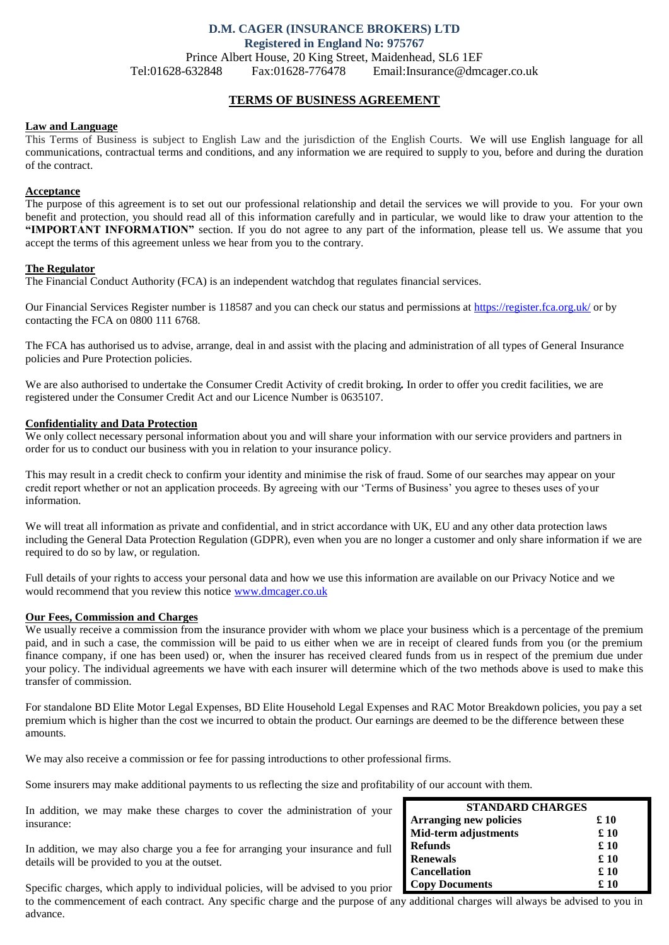# **D.M. CAGER (INSURANCE BROKERS) LTD Registered in England No: 975767** Prince Albert House, 20 King Street, Maidenhead, SL6 1EF Tel:01628-632848 Fax:01628-776478 Email:Insurance@dmcager.co.uk

# **TERMS OF BUSINESS AGREEMENT**

### **Law and Language**

This Terms of Business is subject to English Law and the jurisdiction of the English Courts. We will use English language for all communications, contractual terms and conditions, and any information we are required to supply to you, before and during the duration of the contract.

### **Acceptance**

The purpose of this agreement is to set out our professional relationship and detail the services we will provide to you. For your own benefit and protection, you should read all of this information carefully and in particular, we would like to draw your attention to the **"IMPORTANT INFORMATION"** section. If you do not agree to any part of the information, please tell us. We assume that you accept the terms of this agreement unless we hear from you to the contrary.

## **The Regulator**

The Financial Conduct Authority (FCA) is an independent watchdog that regulates financial services.

Our Financial Services Register number is 118587 and you can check our status and permissions at<https://register.fca.org.uk/> or by contacting the FCA on 0800 111 6768.

The FCA has authorised us to advise, arrange, deal in and assist with the placing and administration of all types of General Insurance policies and Pure Protection policies.

We are also authorised to undertake the Consumer Credit Activity of credit broking*.* In order to offer you credit facilities, we are registered under the Consumer Credit Act and our Licence Number is 0635107.

## **Confidentiality and Data Protection**

We only collect necessary personal information about you and will share your information with our service providers and partners in order for us to conduct our business with you in relation to your insurance policy.

This may result in a credit check to confirm your identity and minimise the risk of fraud. Some of our searches may appear on your credit report whether or not an application proceeds. By agreeing with our 'Terms of Business' you agree to theses uses of your information.

We will treat all information as private and confidential, and in strict accordance with UK, EU and any other data protection laws including the General Data Protection Regulation (GDPR), even when you are no longer a customer and only share information if we are required to do so by law, or regulation.

Full details of your rights to access your personal data and how we use this information are available on our Privacy Notice and we would recommend that you review this notice [www.dmcager.co.uk](http://www.dmcager.co.uk/)

# **Our Fees, Commission and Charges**

We usually receive a commission from the insurance provider with whom we place your business which is a percentage of the premium paid, and in such a case, the commission will be paid to us either when we are in receipt of cleared funds from you (or the premium finance company, if one has been used) or, when the insurer has received cleared funds from us in respect of the premium due under your policy. The individual agreements we have with each insurer will determine which of the two methods above is used to make this transfer of commission.

For standalone BD Elite Motor Legal Expenses, BD Elite Household Legal Expenses and RAC Motor Breakdown policies, you pay a set premium which is higher than the cost we incurred to obtain the product. Our earnings are deemed to be the difference between these amounts.

We may also receive a commission or fee for passing introductions to other professional firms.

Some insurers may make additional payments to us reflecting the size and profitability of our account with them.

In addition, we may make these charges to cover the administration of your insurance:

In addition, we may also charge you a fee for arranging your insurance and full details will be provided to you at the outset.

Specific charges, which apply to individual policies, will be advised to you prior to the commencement of each contract. Any specific charge and the purpose of any additional charges will always be advised to you in advance.

| <b>STANDARD CHARGES</b>       |      |
|-------------------------------|------|
| <b>Arranging new policies</b> | £10  |
| Mid-term adjustments          | £ 10 |
| <b>Refunds</b>                | £ 10 |
| <b>Renewals</b>               | £ 10 |
| <b>Cancellation</b>           | £ 10 |
| <b>Copy Documents</b>         | £ 10 |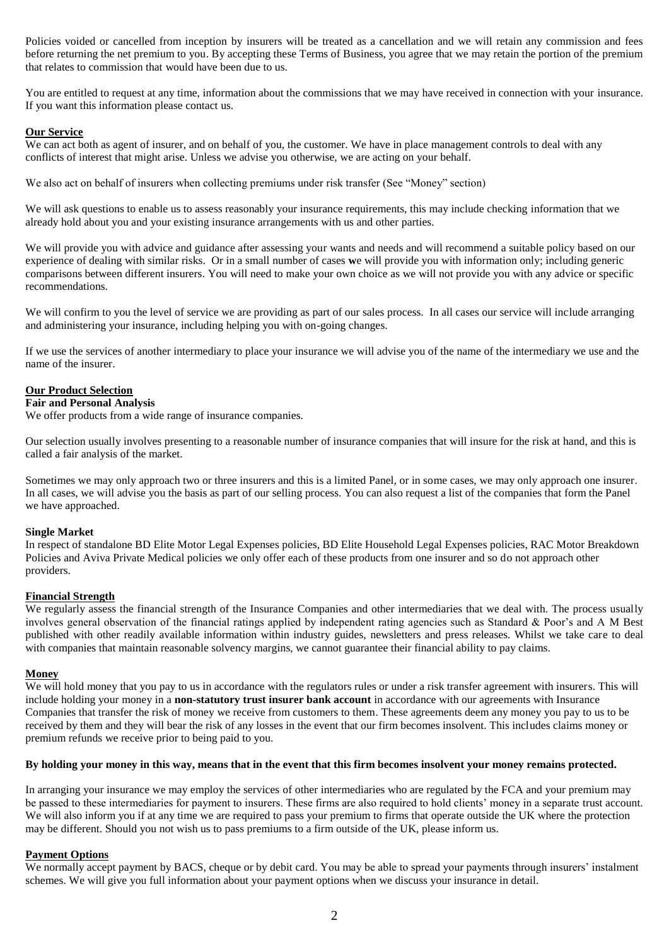Policies voided or cancelled from inception by insurers will be treated as a cancellation and we will retain any commission and fees before returning the net premium to you. By accepting these Terms of Business, you agree that we may retain the portion of the premium that relates to commission that would have been due to us.

You are entitled to request at any time, information about the commissions that we may have received in connection with your insurance. If you want this information please contact us.

## **Our Service**

We can act both as agent of insurer, and on behalf of you, the customer. We have in place management controls to deal with any conflicts of interest that might arise. Unless we advise you otherwise, we are acting on your behalf.

We also act on behalf of insurers when collecting premiums under risk transfer (See "Money" section)

We will ask questions to enable us to assess reasonably your insurance requirements, this may include checking information that we already hold about you and your existing insurance arrangements with us and other parties.

We will provide you with advice and guidance after assessing your wants and needs and will recommend a suitable policy based on our experience of dealing with similar risks. Or in a small number of cases **w**e will provide you with information only; including generic comparisons between different insurers. You will need to make your own choice as we will not provide you with any advice or specific recommendations.

We will confirm to you the level of service we are providing as part of our sales process. In all cases our service will include arranging and administering your insurance, including helping you with on-going changes.

If we use the services of another intermediary to place your insurance we will advise you of the name of the intermediary we use and the name of the insurer.

## **Our Product Selection**

## **Fair and Personal Analysis**

We offer products from a wide range of insurance companies.

Our selection usually involves presenting to a reasonable number of insurance companies that will insure for the risk at hand, and this is called a fair analysis of the market.

Sometimes we may only approach two or three insurers and this is a limited Panel, or in some cases, we may only approach one insurer. In all cases, we will advise you the basis as part of our selling process. You can also request a list of the companies that form the Panel we have approached.

### **Single Market**

In respect of standalone BD Elite Motor Legal Expenses policies, BD Elite Household Legal Expenses policies, RAC Motor Breakdown Policies and Aviva Private Medical policies we only offer each of these products from one insurer and so do not approach other providers.

## **Financial Strength**

We regularly assess the financial strength of the Insurance Companies and other intermediaries that we deal with. The process usually involves general observation of the financial ratings applied by independent rating agencies such as Standard & Poor's and A M Best published with other readily available information within industry guides, newsletters and press releases. Whilst we take care to deal with companies that maintain reasonable solvency margins, we cannot guarantee their financial ability to pay claims.

### **Money**

We will hold money that you pay to us in accordance with the regulators rules or under a risk transfer agreement with insurers. This will include holding your money in a **non-statutory trust insurer bank account** in accordance with our agreements with Insurance Companies that transfer the risk of money we receive from customers to them. These agreements deem any money you pay to us to be received by them and they will bear the risk of any losses in the event that our firm becomes insolvent. This includes claims money or premium refunds we receive prior to being paid to you.

### **By holding your money in this way, means that in the event that this firm becomes insolvent your money remains protected.**

In arranging your insurance we may employ the services of other intermediaries who are regulated by the FCA and your premium may be passed to these intermediaries for payment to insurers. These firms are also required to hold clients' money in a separate trust account. We will also inform you if at any time we are required to pass your premium to firms that operate outside the UK where the protection may be different. Should you not wish us to pass premiums to a firm outside of the UK, please inform us.

## **Payment Options**

We normally accept payment by BACS, cheque or by debit card. You may be able to spread your payments through insurers' instalment schemes. We will give you full information about your payment options when we discuss your insurance in detail.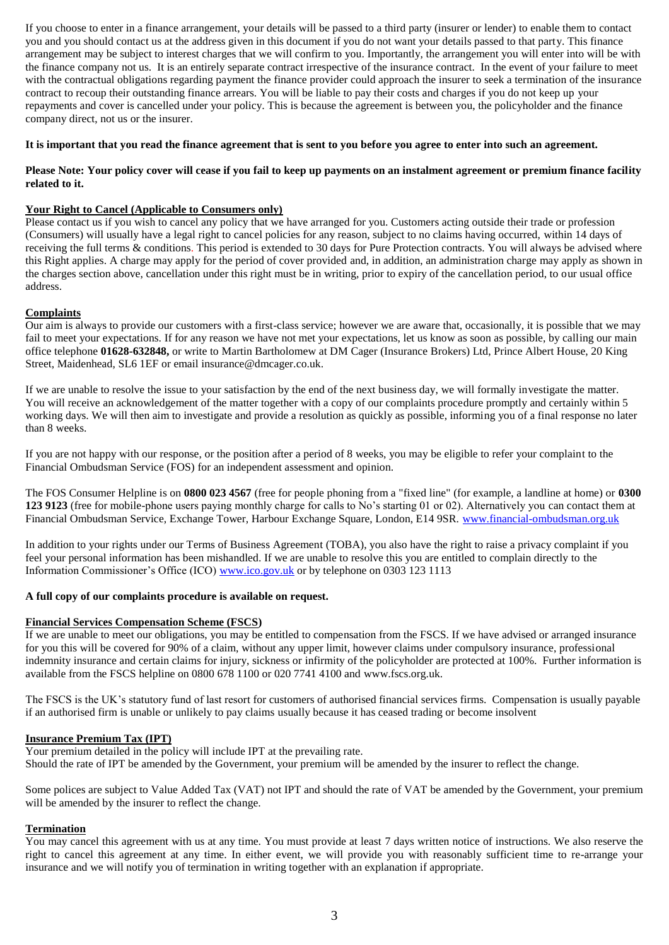If you choose to enter in a finance arrangement, your details will be passed to a third party (insurer or lender) to enable them to contact you and you should contact us at the address given in this document if you do not want your details passed to that party. This finance arrangement may be subject to interest charges that we will confirm to you. Importantly, the arrangement you will enter into will be with the finance company not us. It is an entirely separate contract irrespective of the insurance contract. In the event of your failure to meet with the contractual obligations regarding payment the finance provider could approach the insurer to seek a termination of the insurance contract to recoup their outstanding finance arrears. You will be liable to pay their costs and charges if you do not keep up your repayments and cover is cancelled under your policy. This is because the agreement is between you, the policyholder and the finance company direct, not us or the insurer.

# **It is important that you read the finance agreement that is sent to you before you agree to enter into such an agreement.**

# **Please Note: Your policy cover will cease if you fail to keep up payments on an instalment agreement or premium finance facility related to it.**

# **Your Right to Cancel (Applicable to Consumers only)**

Please contact us if you wish to cancel any policy that we have arranged for you. Customers acting outside their trade or profession (Consumers) will usually have a legal right to cancel policies for any reason, subject to no claims having occurred, within 14 days of receiving the full terms & conditions. This period is extended to 30 days for Pure Protection contracts. You will always be advised where this Right applies. A charge may apply for the period of cover provided and, in addition, an administration charge may apply as shown in the charges section above, cancellation under this right must be in writing, prior to expiry of the cancellation period, to our usual office address.

# **Complaints**

Our aim is always to provide our customers with a first-class service; however we are aware that, occasionally, it is possible that we may fail to meet your expectations. If for any reason we have not met your expectations, let us know as soon as possible, by calling our main office telephone **01628-632848,** or write to Martin Bartholomew at DM Cager (Insurance Brokers) Ltd, Prince Albert House, 20 King Street, Maidenhead, SL6 1EF or email insurance@dmcager.co.uk.

If we are unable to resolve the issue to your satisfaction by the end of the next business day, we will formally investigate the matter. You will receive an acknowledgement of the matter together with a copy of our complaints procedure promptly and certainly within 5 working days. We will then aim to investigate and provide a resolution as quickly as possible, informing you of a final response no later than 8 weeks.

If you are not happy with our response, or the position after a period of 8 weeks, you may be eligible to refer your complaint to the Financial Ombudsman Service (FOS) for an independent assessment and opinion.

The FOS Consumer Helpline is on **0800 023 4567** (free for people phoning from a "fixed line" (for example, a landline at home) or **0300 123 9123** (free for mobile-phone users paying monthly charge for calls to No's starting 01 or 02). Alternatively you can contact them at Financial Ombudsman Service, Exchange Tower, Harbour Exchange Square, London, E14 9SR. [www.financial-ombudsman.org.uk](http://www.financial-ombudsman.org.uk/)

In addition to your rights under our Terms of Business Agreement (TOBA), you also have the right to raise a privacy complaint if you feel your personal information has been mishandled. If we are unable to resolve this you are entitled to complain directly to the Information Commissioner's Office (ICO) [www.ico.gov.uk](http://www.ico.gov.uk/) or by telephone on 0303 123 1113

## **A full copy of our complaints procedure is available on request.**

## **Financial Services Compensation Scheme (FSCS)**

If we are unable to meet our obligations, you may be entitled to compensation from the FSCS. If we have advised or arranged insurance for you this will be covered for 90% of a claim, without any upper limit, however claims under compulsory insurance, professional indemnity insurance and certain claims for injury, sickness or infirmity of the policyholder are protected at 100%. Further information is available from the FSCS helpline on 0800 678 1100 or 020 7741 4100 and [www.fscs.org.uk.](http://www.fscs.org.uk/)

The FSCS is the UK's statutory fund of last resort for customers of authorised financial services firms. Compensation is usually payable if an authorised firm is unable or unlikely to pay claims usually because it has ceased trading or become insolvent

### **Insurance Premium Tax (IPT)**

Your premium detailed in the policy will include IPT at the prevailing rate. Should the rate of IPT be amended by the Government, your premium will be amended by the insurer to reflect the change.

Some polices are subject to Value Added Tax (VAT) not IPT and should the rate of VAT be amended by the Government, your premium will be amended by the insurer to reflect the change.

### **Termination**

You may cancel this agreement with us at any time. You must provide at least 7 days written notice of instructions. We also reserve the right to cancel this agreement at any time. In either event, we will provide you with reasonably sufficient time to re-arrange your insurance and we will notify you of termination in writing together with an explanation if appropriate.